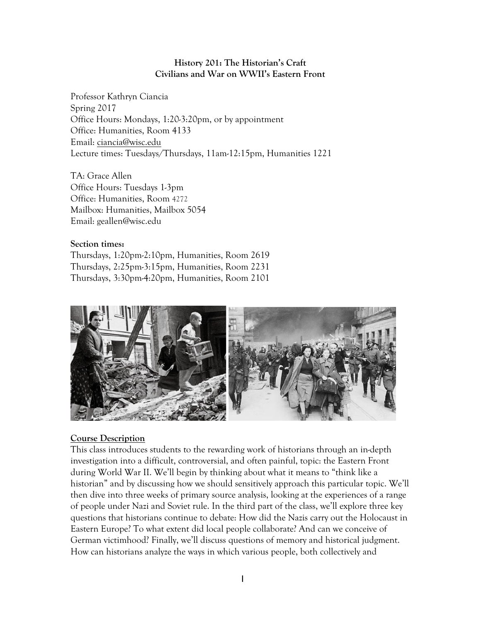## **History 201: The Historian's Craft Civilians and War on WWII's Eastern Front**

Professor Kathryn Ciancia Spring 2017 Office Hours: Mondays, 1:20-3:20pm, or by appointment Office: Humanities, Room 4133 Email: ciancia@wisc.edu Lecture times: Tuesdays/Thursdays, 11am-12:15pm, Humanities 1221

TA: Grace Allen Office Hours: Tuesdays 1-3pm Office: Humanities, Room 4272 Mailbox: Humanities, Mailbox 5054 Email: geallen@wisc.edu

### **Section times:**

Thursdays, 1:20pm-2:10pm, Humanities, Room 2619 Thursdays, 2:25pm-3:15pm, Humanities, Room 2231 Thursdays, 3:30pm-4:20pm, Humanities, Room 2101



## **Course Description**

This class introduces students to the rewarding work of historians through an in-depth investigation into a difficult, controversial, and often painful, topic: the Eastern Front during World War II. We'll begin by thinking about what it means to "think like a historian" and by discussing how we should sensitively approach this particular topic. We'll then dive into three weeks of primary source analysis, looking at the experiences of a range of people under Nazi and Soviet rule. In the third part of the class, we'll explore three key questions that historians continue to debate: How did the Nazis carry out the Holocaust in Eastern Europe? To what extent did local people collaborate? And can we conceive of German victimhood? Finally, we'll discuss questions of memory and historical judgment. How can historians analyze the ways in which various people, both collectively and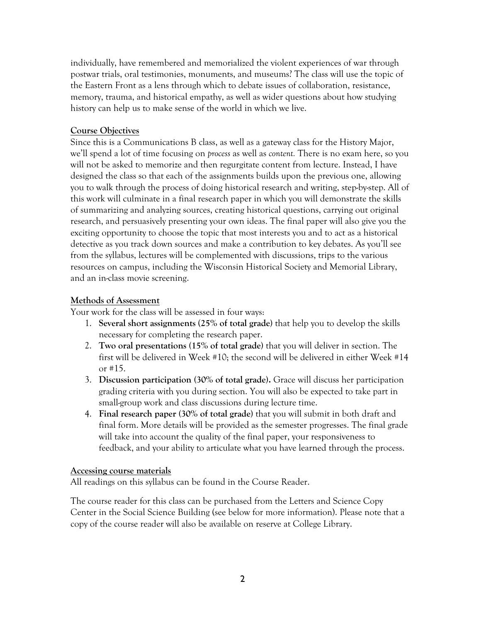individually, have remembered and memorialized the violent experiences of war through postwar trials, oral testimonies, monuments, and museums? The class will use the topic of the Eastern Front as a lens through which to debate issues of collaboration, resistance, memory, trauma, and historical empathy, as well as wider questions about how studying history can help us to make sense of the world in which we live.

## **Course Objectives**

Since this is a Communications B class, as well as a gateway class for the History Major, we'll spend a lot of time focusing on *process* as well as *content.* There is no exam here, so you will not be asked to memorize and then regurgitate content from lecture. Instead, I have designed the class so that each of the assignments builds upon the previous one, allowing you to walk through the process of doing historical research and writing, step-by-step. All of this work will culminate in a final research paper in which you will demonstrate the skills of summarizing and analyzing sources, creating historical questions, carrying out original research, and persuasively presenting your own ideas. The final paper will also give you the exciting opportunity to choose the topic that most interests you and to act as a historical detective as you track down sources and make a contribution to key debates. As you'll see from the syllabus, lectures will be complemented with discussions, trips to the various resources on campus, including the Wisconsin Historical Society and Memorial Library, and an in-class movie screening.

## **Methods of Assessment**

Your work for the class will be assessed in four ways:

- 1. **Several short assignments** (**25% of total grade)** that help you to develop the skills necessary for completing the research paper.
- 2. **Two oral presentations (15% of total grade)** that you will deliver in section. The first will be delivered in Week #10; the second will be delivered in either Week #14 or #15.
- 3. **Discussion participation (30% of total grade).** Grace will discuss her participation grading criteria with you during section. You will also be expected to take part in small-group work and class discussions during lecture time.
- 4. **Final research paper (30% of total grade)** that you will submit in both draft and final form. More details will be provided as the semester progresses. The final grade will take into account the quality of the final paper, your responsiveness to feedback, and your ability to articulate what you have learned through the process.

### **Accessing course materials**

All readings on this syllabus can be found in the Course Reader.

The course reader for this class can be purchased from the Letters and Science Copy Center in the Social Science Building (see below for more information). Please note that a copy of the course reader will also be available on reserve at College Library.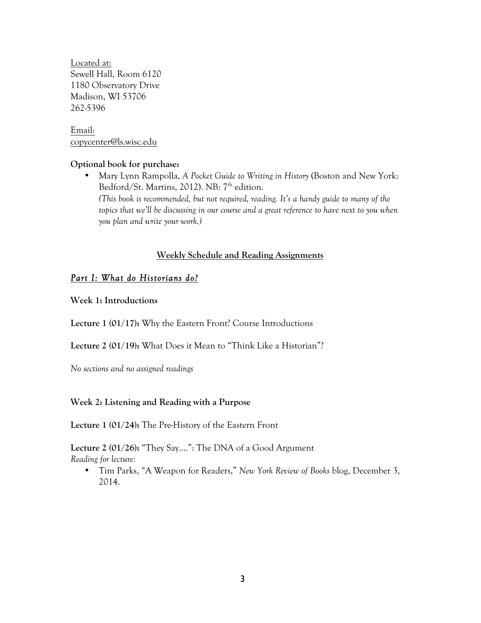Located at: Sewell Hall, Room 6120 1180 Observatory Drive Madison, WI 53706 262-5396

Email: copycenter@ls.wisc.edu

### **Optional book for purchase:**

• Mary Lynn Rampolla, *A Pocket Guide to Writing in History* (Boston and New York: Bedford/St. Martins, 2012). NB: 7<sup>th</sup> edition. *(This book is recommended, but not required, reading. It's a handy guide to many of the topics that we'll be discussing in our course and a great reference to have next to you when you plan and write your work.)*

## **Weekly Schedule and Reading Assignments**

# *Part I: What do Historians do?*

**Week 1: Introductions**

**Lecture 1 (01/17):** Why the Eastern Front? Course Introductions

**Lecture 2 (01/19):** What Does it Mean to "Think Like a Historian"?

*No sections and no assigned readings*

## **Week 2: Listening and Reading with a Purpose**

**Lecture 1 (01/24):** The Pre-History of the Eastern Front

**Lecture 2 (01/26):** "They Say….": The DNA of a Good Argument *Reading for lecture:*

• Tim Parks, "A Weapon for Readers," *New York Review of Books* blog, December 3, 2014.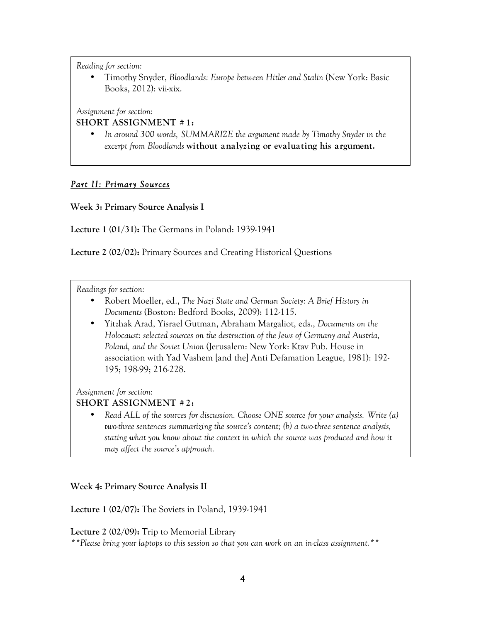• Timothy Snyder, *Bloodlands: Europe between Hitler and Stalin* (New York: Basic Books, 2012): vii-xix.

*Assignment for section:* 

## **SHORT ASSIGNMENT # 1:**

• *In around 300 words, SUMMARIZE the argument made by Timothy Snyder in the excerpt from Bloodlands* **without analyzing or evaluating his argument.**

# *Part II: Primary Sources*

**Week 3: Primary Source Analysis I**

**Lecture 1 (01/31):** The Germans in Poland: 1939-1941

**Lecture 2 (02/02):** Primary Sources and Creating Historical Questions

*Readings for section:*

- Robert Moeller, ed., *The Nazi State and German Society: A Brief History in Documents* (Boston: Bedford Books, 2009): 112-115.
- Yitzhak Arad, Yisrael Gutman, Abraham Margaliot, eds., *Documents on the Holocaust: selected sources on the destruction of the Jews of Germany and Austria, Poland, and the Soviet Union* (Jerusalem: New York: Ktav Pub. House in association with Yad Vashem [and the] Anti Defamation League, 1981): 192- 195; 198-99; 216-228.

*Assignment for section:*

## **SHORT ASSIGNMENT # 2:**

• *Read ALL of the sources for discussion. Choose ONE source for your analysis. Write (a) two-three sentences summarizing the source's content; (b) a two-three sentence analysis, stating what you know about the context in which the source was produced and how it may affect the source's approach.* 

### **Week 4: Primary Source Analysis II**

**Lecture 1 (02/07):** The Soviets in Poland, 1939-1941

**Lecture 2 (02/09):** Trip to Memorial Library

*\*\*Please bring your laptops to this session so that you can work on an in-class assignment.\*\**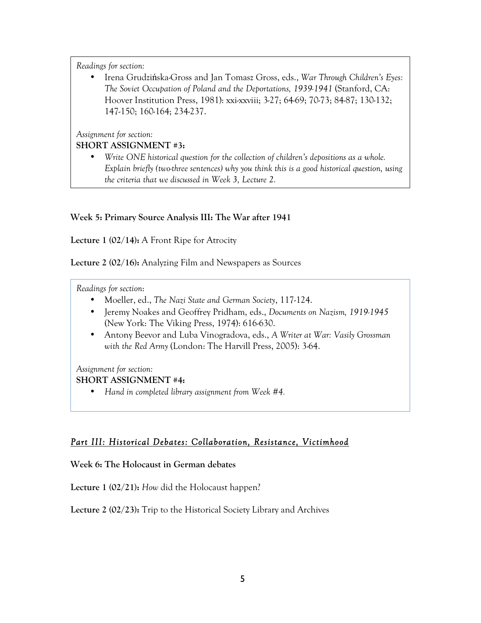• Irena Grudzińska-Gross and Jan Tomasz Gross, eds., *War Through Children's Eyes: The Soviet Occupation of Poland and the Deportations, 1939-1941* (Stanford, CA: Hoover Institution Press, 1981): xxi-xxviii; 3-27; 64-69; 70-73; 84-87; 130-132; 147-150; 160-164; 234-237.

*Assignment for section:*

## **SHORT ASSIGNMENT #3:**

• *Write ONE historical question for the collection of children's depositions as a whole. Explain briefly (two-three sentences) why you think this is a good historical question, using the criteria that we discussed in Week 3, Lecture 2.*

## **Week 5: Primary Source Analysis III: The War after 1941**

**Lecture 1 (02/14):** A Front Ripe for Atrocity

**Lecture 2 (02/16):** Analyzing Film and Newspapers as Sources

*Readings for section*:

- Moeller, ed., *The Nazi State and German Society*, 117-124.
- Jeremy Noakes and Geoffrey Pridham, eds., *Documents on Nazism, 1919-1945* (New York: The Viking Press, 1974): 616-630.
- Antony Beevor and Luba Vinogradova, eds., *A Writer at War: Vasily Grossman with the Red Army* (London: The Harvill Press, 2005): 3-64.

## *Assignment for section:*

## **SHORT ASSIGNMENT #4:**

• *Hand in completed library assignment from Week #4.*

# *Part III: Historical Debates: Collaboration, Resistance, Victimhood*

**Week 6: The Holocaust in German debates**

**Lecture 1 (02/21):** *How* did the Holocaust happen?

**Lecture 2 (02/23):** Trip to the Historical Society Library and Archives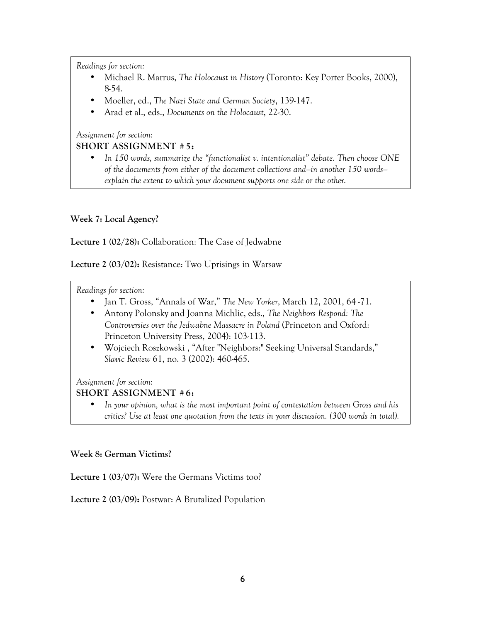- Michael R. Marrus, *The Holocaust in History* (Toronto: Key Porter Books, 2000), 8-54.
- Moeller, ed., *The Nazi State and German Society*, 139-147.
- Arad et al., eds., *Documents on the Holocaust*, 22-30.

*Assignment for section:*

## **SHORT ASSIGNMENT # 5:**

• *In 150 words, summarize the "functionalist v. intentionalist" debate. Then choose ONE of the documents from either of the document collections and—in another 150 words explain the extent to which your document supports one side or the other.* 

# **Week 7: Local Agency?**

**Lecture 1 (02/28):** Collaboration: The Case of Jedwabne

**Lecture 2 (03/02):** Resistance: Two Uprisings in Warsaw

*Readings for section:*

- Jan T. Gross, "Annals of War," *The New Yorker*, March 12, 2001, 64 -71.
- Antony Polonsky and Joanna Michlic, eds., *The Neighbors Respond: The Controversies over the Jedwabne Massacre in Poland* (Princeton and Oxford: Princeton University Press, 2004): 103-113.
- Wojciech Roszkowski , "After "Neighbors:" Seeking Universal Standards," *Slavic Review* 61, no. 3 (2002): 460-465.

*Assignment for section:*

## **SHORT ASSIGNMENT # 6:**

• *In your opinion, what is the most important point of contestation between Gross and his critics? Use at least one quotation from the texts in your discussion. (300 words in total).*

## **Week 8: German Victims?**

**Lecture 1 (03/07):** Were the Germans Victims too?

**Lecture 2 (03/09):** Postwar: A Brutalized Population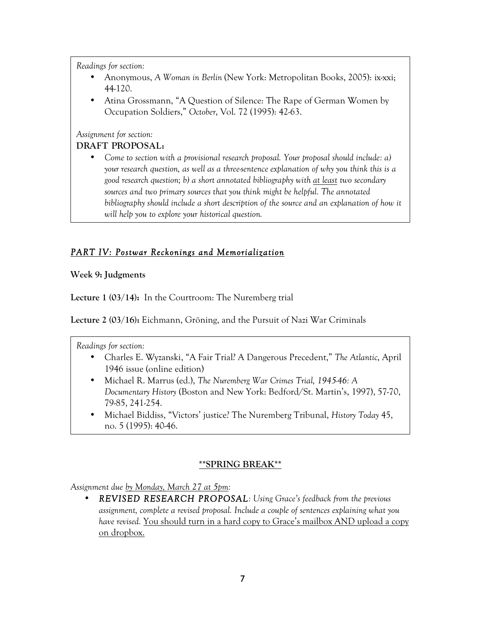- Anonymous, *A Woman in Berlin* (New York: Metropolitan Books, 2005): ix-xxi; 44-120.
- Atina Grossmann, "A Question of Silence: The Rape of German Women by Occupation Soldiers," *October*, Vol. 72 (1995): 42-63.

*Assignment for section:*

## **DRAFT PROPOSAL:**

• *Come to section with a provisional research proposal. Your proposal should include: a) your research question, as well as a three-sentence explanation of why you think this is a good research question; b) a short annotated bibliography with at least two secondary sources and two primary sources that you think might be helpful. The annotated bibliography should include a short description of the source and an explanation of how it will help you to explore your historical question.*

# *PART IV: Postwar Reckonings and Memorialization*

**Week 9: Judgments**

**Lecture 1 (03/14):** In the Courtroom: The Nuremberg trial

**Lecture 2 (03/16):** Eichmann, Gröning, and the Pursuit of Nazi War Criminals

*Readings for section:*

- Charles E. Wyzanski, "A Fair Trial? A Dangerous Precedent," *The Atlantic*, April 1946 issue (online edition)
- Michael R. Marrus (ed.), *The Nuremberg War Crimes Trial, 1945-46: A Documentary History* (Boston and New York: Bedford/St. Martin's, 1997), 57-70, 79-85, 241-254.
- Michael Biddiss, "Victors' justice? The Nuremberg Tribunal, *History Today* 45, no. 5 (1995): 40-46.

# **\*\*SPRING BREAK\*\***

*Assignment due by Monday, March 27 at 5pm:*

• *REVISED RESEARCH PROPOSAL: Using Grace's feedback from the previous assignment, complete a revised proposal. Include a couple of sentences explaining what you have revised.* You should turn in a hard copy to Grace's mailbox AND upload a copy on dropbox.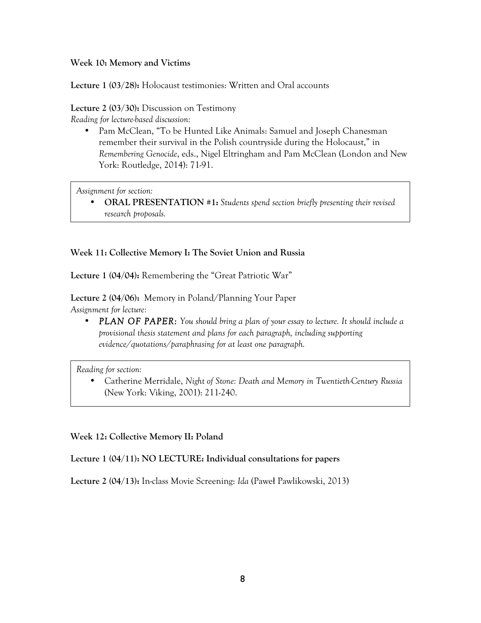## **Week 10: Memory and Victims**

**Lecture 1 (03/28):** Holocaust testimonies: Written and Oral accounts

**Lecture 2 (03/30):** Discussion on Testimony

*Reading for lecture-based discussion:*

• Pam McClean, "To be Hunted Like Animals: Samuel and Joseph Chanesman remember their survival in the Polish countryside during the Holocaust," in *Remembering Genocide*, eds., Nigel Eltringham and Pam McClean (London and New York: Routledge, 2014): 71-91.

*Assignment for section:*

• **ORAL PRESENTATION #1:** *Students spend section briefly presenting their revised research proposals.*

## **Week 11: Collective Memory I: The Soviet Union and Russia**

**Lecture 1 (04/04):** Remembering the "Great Patriotic War"

**Lecture 2 (04/06):** Memory in Poland/Planning Your Paper *Assignment for lecture:*

• *PLAN OF PAPER: You should bring a plan of your essay to lecture. It should include a provisional thesis statement and plans for each paragraph, including supporting evidence/quotations/paraphrasing for at least one paragraph.*

*Reading for section:*

• Catherine Merridale, *Night of Stone: Death and Memory in Twentieth-Century Russia* (New York: Viking, 2001): 211-240.

## **Week 12: Collective Memory II: Poland**

## **Lecture 1 (04/11): NO LECTURE: Individual consultations for papers**

**Lecture 2 (04/13):** In-class Movie Screening: *Ida* (Paweł Pawlikowski, 2013)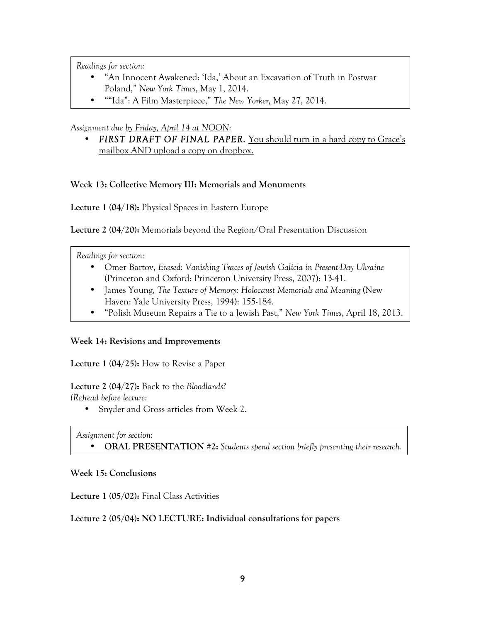- "An Innocent Awakened: 'Ida,' About an Excavation of Truth in Postwar Poland," *New York Times*, May 1, 2014.
- ""Ida": A Film Masterpiece," *The New Yorker,* May 27, 2014.

## *Assignment due by Friday, April 14 at NOON:*

• **FIRST DRAFT OF FINAL PAPER.** You should turn in a hard copy to Grace's mailbox AND upload a copy on dropbox.

## **Week 13: Collective Memory III: Memorials and Monuments**

**Lecture 1 (04/18):** Physical Spaces in Eastern Europe

**Lecture 2 (04/20):** Memorials beyond the Region/Oral Presentation Discussion

## *Readings for section:*

- Omer Bartov, *Erased: Vanishing Traces of Jewish Galicia in Present-Day Ukraine* (Princeton and Oxford: Princeton University Press, 2007): 13-41.
- James Young, *The Texture of Memory: Holocaust Memorials and Meaning* (New Haven: Yale University Press, 1994): 155-184.
- "Polish Museum Repairs a Tie to a Jewish Past," *New York Times*, April 18, 2013.

## **Week 14: Revisions and Improvements**

**Lecture 1 (04/25):** How to Revise a Paper

# **Lecture 2 (04/27):** Back to the *Bloodlands?*

*(Re)read before lecture:*

• Snyder and Gross articles from Week 2.

*Assignment for section:*

• **ORAL PRESENTATION #2:** *Students spend section briefly presenting their research.*

## **Week 15: Conclusions**

**Lecture 1 (05/02):** Final Class Activities

## **Lecture 2 (05/04): NO LECTURE: Individual consultations for papers**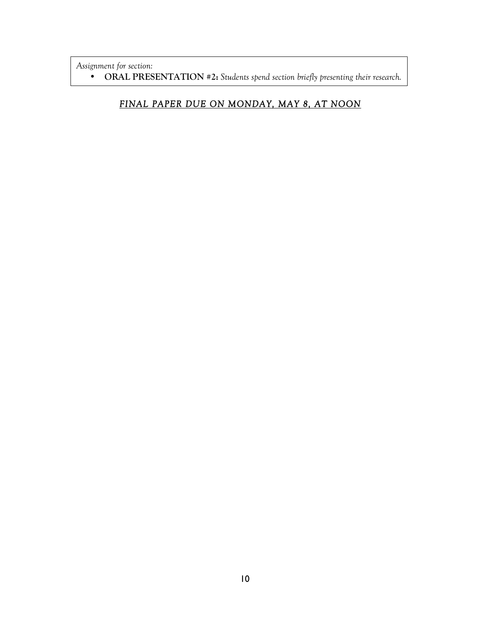*Assignment for section:*

• **ORAL PRESENTATION #2:** *Students spend section briefly presenting their research.*

# *FINAL PAPER DUE ON MONDAY, MAY 8, AT NOON*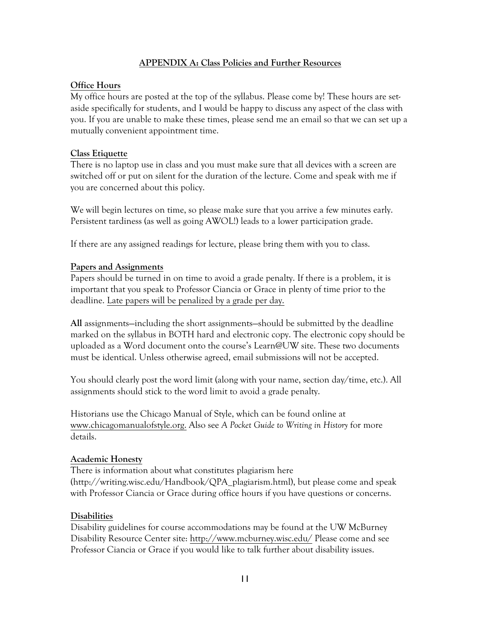## **APPENDIX A: Class Policies and Further Resources**

## **Office Hours**

My office hours are posted at the top of the syllabus. Please come by! These hours are setaside specifically for students, and I would be happy to discuss any aspect of the class with you. If you are unable to make these times, please send me an email so that we can set up a mutually convenient appointment time.

### **Class Etiquette**

There is no laptop use in class and you must make sure that all devices with a screen are switched off or put on silent for the duration of the lecture. Come and speak with me if you are concerned about this policy.

We will begin lectures on time, so please make sure that you arrive a few minutes early. Persistent tardiness (as well as going AWOL!) leads to a lower participation grade.

If there are any assigned readings for lecture, please bring them with you to class.

## **Papers and Assignments**

Papers should be turned in on time to avoid a grade penalty. If there is a problem, it is important that you speak to Professor Ciancia or Grace in plenty of time prior to the deadline. Late papers will be penalized by a grade per day.

**All** assignments—including the short assignments—should be submitted by the deadline marked on the syllabus in BOTH hard and electronic copy. The electronic copy should be uploaded as a Word document onto the course's Learn@UW site. These two documents must be identical. Unless otherwise agreed, email submissions will not be accepted.

You should clearly post the word limit (along with your name, section day/time, etc.). All assignments should stick to the word limit to avoid a grade penalty.

Historians use the Chicago Manual of Style, which can be found online at www.chicagomanualofstyle.org. Also see *A Pocket Guide to Writing in History* for more details.

### **Academic Honesty**

There is information about what constitutes plagiarism here (http://writing.wisc.edu/Handbook/QPA\_plagiarism.html), but please come and speak with Professor Ciancia or Grace during office hours if you have questions or concerns.

## **Disabilities**

Disability guidelines for course accommodations may be found at the UW McBurney Disability Resource Center site: http://www.mcburney.wisc.edu/ Please come and see Professor Ciancia or Grace if you would like to talk further about disability issues.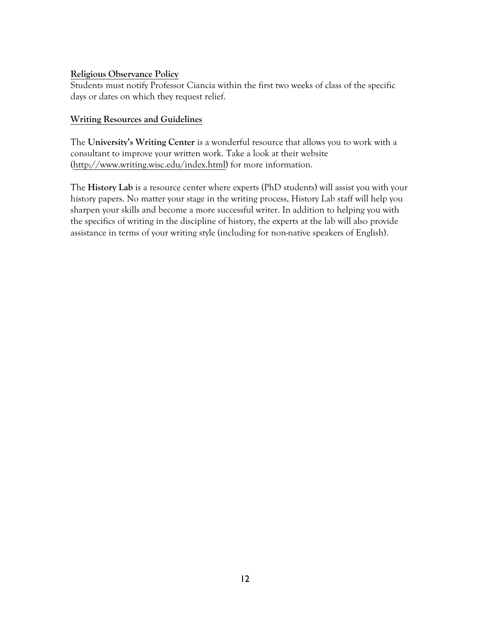## **Religious Observance Policy**

Students must notify Professor Ciancia within the first two weeks of class of the specific days or dates on which they request relief.

## **Writing Resources and Guidelines**

The **University's Writing Center** is a wonderful resource that allows you to work with a consultant to improve your written work. Take a look at their website (http://www.writing.wisc.edu/index.html) for more information.

The **History Lab** is a resource center where experts (PhD students) will assist you with your history papers. No matter your stage in the writing process, History Lab staff will help you sharpen your skills and become a more successful writer. In addition to helping you with the specifics of writing in the discipline of history, the experts at the lab will also provide assistance in terms of your writing style (including for non-native speakers of English).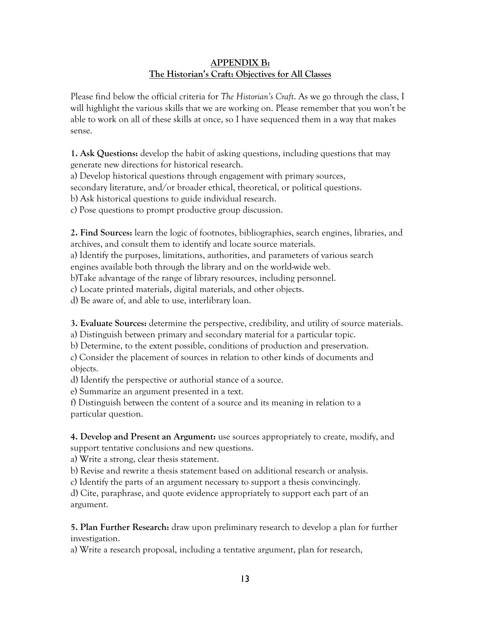## **APPENDIX B: The Historian's Craft: Objectives for All Classes**

Please find below the official criteria for *The Historian's Craft*. As we go through the class, I will highlight the various skills that we are working on. Please remember that you won't be able to work on all of these skills at once, so I have sequenced them in a way that makes sense.

**1. Ask Questions:** develop the habit of asking questions, including questions that may generate new directions for historical research.

a) Develop historical questions through engagement with primary sources,

secondary literature, and/or broader ethical, theoretical, or political questions.

b) Ask historical questions to guide individual research.

c) Pose questions to prompt productive group discussion.

**2. Find Sources:** learn the logic of footnotes, bibliographies, search engines, libraries, and archives, and consult them to identify and locate source materials.

a) Identify the purposes, limitations, authorities, and parameters of various search engines available both through the library and on the world-wide web.

b)Take advantage of the range of library resources, including personnel.

c) Locate printed materials, digital materials, and other objects.

d) Be aware of, and able to use, interlibrary loan.

**3. Evaluate Sources:** determine the perspective, credibility, and utility of source materials.

a) Distinguish between primary and secondary material for a particular topic.

b) Determine, to the extent possible, conditions of production and preservation.

c) Consider the placement of sources in relation to other kinds of documents and objects.

d) Identify the perspective or authorial stance of a source.

e) Summarize an argument presented in a text.

f) Distinguish between the content of a source and its meaning in relation to a particular question.

**4. Develop and Present an Argument:** use sources appropriately to create, modify, and support tentative conclusions and new questions.

a) Write a strong, clear thesis statement.

b) Revise and rewrite a thesis statement based on additional research or analysis.

c) Identify the parts of an argument necessary to support a thesis convincingly.

d) Cite, paraphrase, and quote evidence appropriately to support each part of an argument.

**5. Plan Further Research:** draw upon preliminary research to develop a plan for further investigation.

a) Write a research proposal, including a tentative argument, plan for research,